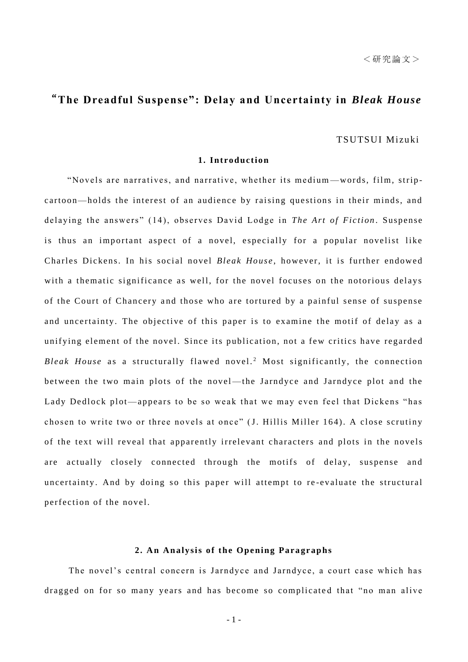# "**The Dreadful Suspense": Delay and Uncertainty in** *Bleak House*

### TSUTSUI Mizuki

# **1. Introduction**

"Novels are narratives, and narrative, whether its medium-words, film, stripcartoon—holds the interest of an audience by raising questions in their minds, and delaying the answers" (14), observes David Lodge in *The Art of Fiction*. Suspense is thus an important aspect of a novel, especially for a popular novelist like Charles Dickens. In his social novel *Bleak House*, however, it is further endowed with a thematic significance as well, for the novel focuses on the notorious delays of the Court of Chancery and those who are tortured by a painful sense of suspense and uncertainty. The objective of this paper is to examine the motif of delay as a unifying element of the novel. Since its publication, not a few critics have regarded *Bleak House* as a structurally flawed novel.<sup>2</sup> Most significantly, the connection between the two main plots of the novel—the Jarndyce and Jarndyce plot and the Lady Dedlock plot—appears to be so weak that we may even feel that Dickens "has chosen to write two or three novels at once" (J. Hillis Miller 164). A close scrutiny of the text will reveal that apparently irrelevant characters and plots in the novels are actually closely connected through the motifs of delay, suspense and uncertainty. And by doing so this paper will attempt to re-evaluate the structural perfection of the novel.

# 2. An Analysis of the Opening Paragraphs

The novel's central concern is Jarndyce and Jarndyce, a court case which has dragged on for so many years and has become so complicated that "no man alive

- 1 -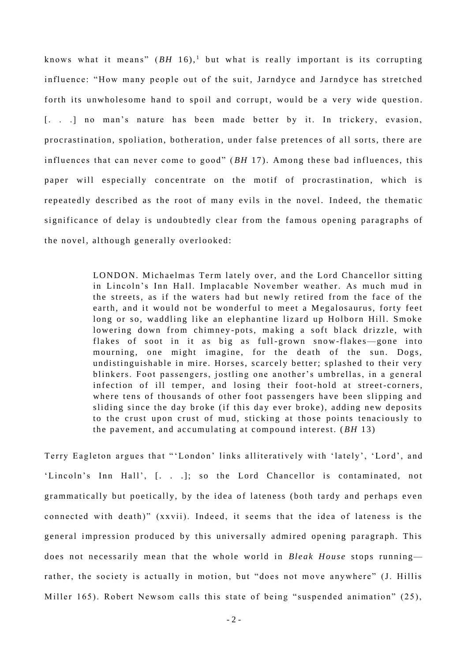knows what it means"  $(BH 16)$ ,<sup>1</sup> but what is really important is its corrupting influence: "How many people out of the suit, Jarndyce and Jarndyce has stretched forth its unwholesome hand to spoil and corrupt, would be a very wide question. [. . .] no man's nature has been made better by it. In trickery, evasion, procrastination, spoliation, botheration, under false pretences of all sorts, there are influences that can never come to good" ( *BH* 17). Among these bad influences, this paper will especially concentrate on the motif of procrastination, which is repeatedly described as the root of many evils in the novel. Indeed, the thematic significance of delay is undoubtedly clear from the famous opening paragraphs of the novel, although generally overlooked:

> LONDON. Michaelmas Term lately over, and the Lord Chancellor sitting in Lincoln's Inn Hall. Implacable November weather. As much mud in the streets, as if the waters had but new ly retired from the face of the earth, and it would not be wonderful to meet a Megalosaurus, forty feet long or so, waddling like an elephantine lizard up Holborn Hill. Smoke lowering down from chimney -pots, making a soft black drizzle, with flakes of soot in it as big as full-grown snow-flakes—gone into mourning, one might imagine, for the death of the sun. Dogs, undistinguishable in mire. Horses, scarcely better; splashed to their very blinkers. Foot passengers, jostling one another's umbrellas, in a general infection of ill temper, and losing their foot-hold at street-corners, where tens of thousands of other foot passengers have been slipping and sliding since the day broke (if this day ever broke), adding new deposits to the crust upon crust of mud, sticking at those points tenaciously to the pavement, and ac cumulating at compound interest. ( *BH* 13)

Terry Eagleton argues that "'London' links alliteratively with 'lately', 'Lord', and 'Lincoln's Inn Hall', [. . .]; so the Lord Chancellor is contaminated, not grammatically but poetically, by the idea of lateness (both tardy and perhaps even connected with death)" (xxvii). Indeed, it seems that the idea of lateness is the general impression produced by this universally admired opening paragraph. This does not necessarily mean that the whole world in *Bleak House* stops runningrather, the society is actually in motion, but "does not move anywhere" (J. Hillis Miller 165). Robert Newsom calls this state of being "suspended animation" (25),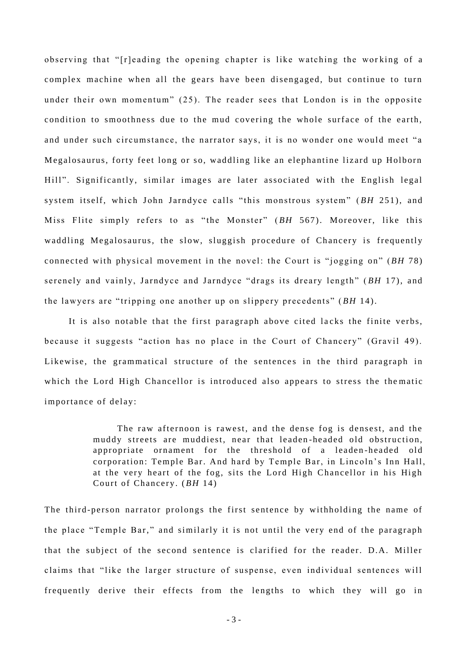observing that "[r]eading the opening chapter is like watching the working of a complex machine when all the gears have been disengaged, but continue to turn under their own momentum" (25). The reader sees that London is in the opposite condition to smoothness due to the mud covering the whole surface of the earth, and under such circumstance, the narrator says, it is no wonder one would meet "a Megalosaurus, forty feet long or so, wadd ling like an elephantine lizard up Holborn Hill". Significantly, similar images are later associated with the English legal system itself, which John Jarndyce calls "this monstrous system" (BH 251), and Miss Flite simply refers to as "the Monster" ( *BH* 567). Moreover, like this waddling Megalosaurus, the slow, sluggish procedure of Chancery is frequently connected with physical movement in the novel: the Court is "jogging on" (*BH* 78) serenely and vainly, Jarndyce and Jarndyce "drags its dreary length" ( *BH* 17), and the lawyers are "tripping one another up on slippery precedents" (*BH* 14).

It is also notable that the first paragraph above cited lacks the finite verbs, because it suggests "action has no place in the Court of Chancery" (Gravil 49). Likewise, the grammatical structure of the sentences in the third paragraph in which the Lord High Chancellor is introduced also appears to stress the the matic importance of delay:

> The raw afternoon is rawest, and the dense fog is densest, and the muddy streets are muddiest, near that leaden -headed old obstruction, appropriate ornament for the threshold of a leaden-headed old corporation: Temple Bar. And hard by Temple Bar, in Lincoln's Inn Hall, at the very heart of the fog, sits the Lord High Chancellor in his High Court of Chancery . (*BH* 14)

The third-person narrator prolongs the first sentence by withholding the name of the place "Temple Bar," and similarly it is not until the very end of the paragraph that the subject of the second sentence is clarified for the reader. D.A. Miller claims that "like the larger structure of suspense, even individual sentences will frequently derive their effects from the lengths to which they will go in

- 3 -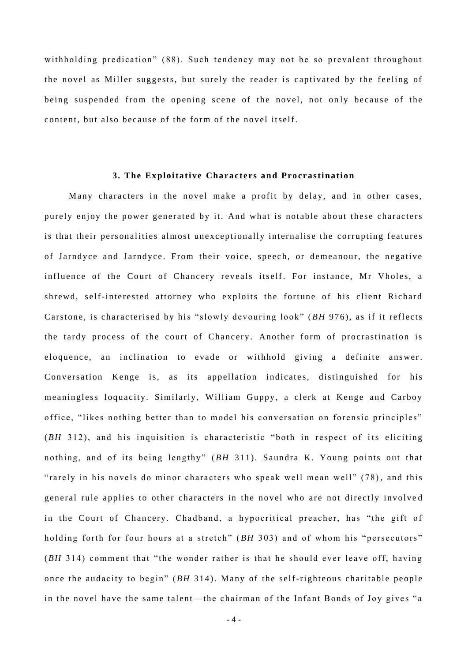withholding predication" (88). Such tendency may not be so prevalent throughout the novel as Miller suggests, but surely the reader is captivated by the feeling of being suspended from the opening scene of the novel, not only because of the content, but also bec ause of the form of the novel itself.

#### **3. The Exploitative Characters and Procrastination**

Many characters in the novel make a profit by delay, and in other cases, purely enjoy the power generated by it. And what is notable about these characters is that their personalities almost unexceptionally internalise the corrupting features of Jarndyce and Jarndyce. From their voice, speech, or demeanour, the negative influence of the Court of Chancery reveals itself. For instance, Mr Vholes, a shrewd, self-interested attorney who exploits the fortune of his client Richard Carstone, is characterised by his "slowly devouring look" (*BH* 976), as if it reflects the tardy process of the court of Chancery. Another form of procrastination is eloquence, an inclination to evade or withhold giving a definite answer . Conversation Kenge is, as its appellation indicates, distinguished for his meaningless loquacity. Similarly, William Guppy, a clerk at Kenge and Carboy office, "likes nothing better than to model his conversation on forensic principles"  $(BH<sub>312</sub>)$ , and his inquisition is characteristic "both in respect of its eliciting nothing, and of its being lengthy" (BH 311). Saundra K. Young points out that "rarely in his novels do minor characters who speak well mean well" (78), and this general rule applies to other characters in the novel who are not directly involve d in the Court of Chancery. Chadband, a hypocritical preacher, has "the gift of holding forth for four hours at a stretch" (*BH* 303) and of whom his "persecutors" (*BH* 314) comment that "the wonder rather is that he should ever leave off, having once the audacity to begin"  $(BH 314)$ . Many of the self-righteous charitable people in the novel have the same talent—the chairman of the Infant Bonds of Joy gives "a

- 4 -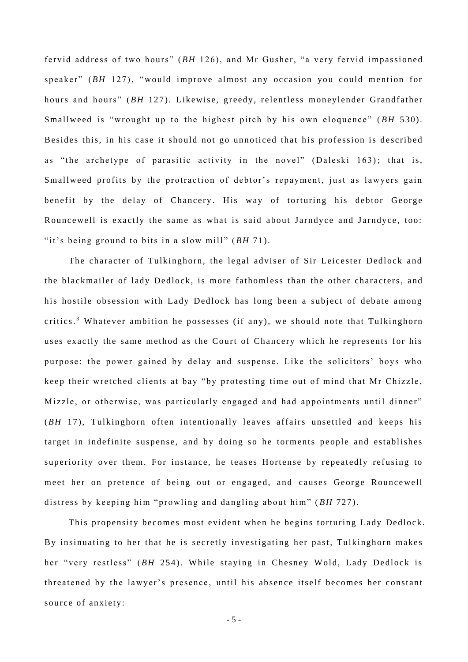fervid address of two hours" (BH 126), and Mr Gusher, "a very fervid impassioned speaker" (*BH* 127), "would improve almost any occasion you could mention for hours and hours" (BH 127). Likewise, greedy, relentless moneylender Grandfather Smallweed is "wrought up to the highest pitch by his own eloquence" (*BH* 530). Besides this, in his case it should not go unnoticed that his profession is described as "the archetype of parasitic activity in the novel" (Daleski 163); that is, Smallweed profits by the protraction of debtor's repayment, just as lawyers gain benefit by the delay of Chancery. His way of torturing his debtor George Rouncewell is exactly the same as what is said about Jarndyce and Jarndyce, too: "it's being ground to bits in a slow mill" ( *BH* 71).

The character of Tulkinghorn, the legal adviser of Sir Leicester Dedlock and the blackmailer of lady Dedlock, is more fathomless than the other characters, and his hostile obsession with Lady Dedlock has long been a subject of debate among critics. <sup>3</sup> Whatever ambition he possesses (if any), we should note that Tulkinghorn uses exactly the same method as the Court of Chancery which he represents for his purpose: the power gained by delay and suspense. Like the solicitors' boys who keep their wretched clients at bay "by protesting time out of mind that Mr Chizzle, Mizzle, or otherwise, was particularly engaged and had appointments until dinner" (*BH* 17), Tulkinghorn often intentionally leaves affairs unsettled and keeps his target in indefinite suspense, and by doing so he torments people and establishes superiority over them. For instance, he teases Hortense by repeatedly refusing to meet her on pretence of being out or engaged, and causes George Rouncewell distress by keeping him "prowling and dangling about him" (BH 727).

This propensity becomes most evident when he begins torturing Lady Dedlock. By insinuating to her that he is secretly investigating her past, Tulkinghorn makes her "very restless" (BH 254). While staying in Chesney Wold, Lady Dedlock is threatened by the lawyer's presence, until his absence itself becomes her constant source of anxiety:

- 5 -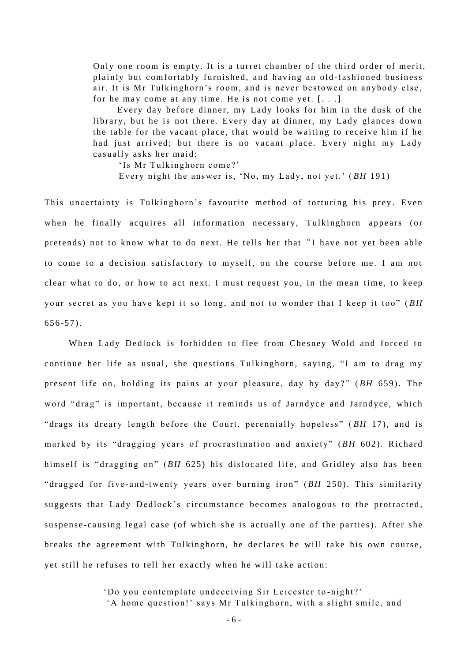Only one room is empty. It is a turret chamber of the third order of merit, plainly but comfortably furnished, and having an old-fashioned business air. It is Mr Tulkinghorn's room, and is never bestowed on anybody else, for he may come at any time. He is not come yet.  $[\ldots]$ 

Every day before dinner, my Lady looks for him in the dusk of the library, but he is not there. Every day at dinner, my Lady glances down the table for the vacant place, that would be waiting to receive him if he had just arrived; but there is no vacant place. Every night my Lady casually asks her maid:

'Is Mr Tulkinghorn come?'

Every night the answer is, 'No, my Lady, not yet.' (BH 191)

This uncertainty is Tulkinghorn's favourite method of torturing his prey. Even when he finally acquires all information necessary, Tulkinghorn appears (or pretends) not to know what to do next. He tells her that "I have not yet been able to come to a decision satisfactory to myself, on the course before me. I am not clear what to do, or how to act next. I must request you, in the mean time, to keep your secret as you have kept it so long, and not to wonder that I keep it too" (BH  $656 - 57$ ).

When Lady Dedlock is forbidden to flee from Chesney Wold and forced to continue her life as usual, she questions Tulkinghorn, saying, "I am to drag my present life on, holding its pains at your pleasure, day by day?" (*BH* 659). The word "drag" is important, because it reminds us of Jarndyce and Jarndyce, which "drags its dreary length before the Court, perennially hopeless" (BH 17), and is marked by its "dragging years of procrastination and anxiety" (BH 602). Richard himself is "dragging on" (*BH* 625) his dislocated life, and Gridley also has been "dragged for five-and-twenty years over burning iron" (BH 250). This similarity suggests that Lady Dedlock's circumstance becomes analogous to the protracted, suspense-causing legal case (of which she is actually one of the parties). After she breaks the agreement with Tulkinghorn, he declares he will take his own course, yet still he refuses to tell her exactly when he will take action:

'Do you contemplate undeceiving Sir Leicester to-night?'

'A home question!' says Mr Tulkinghorn, with a slight smile, and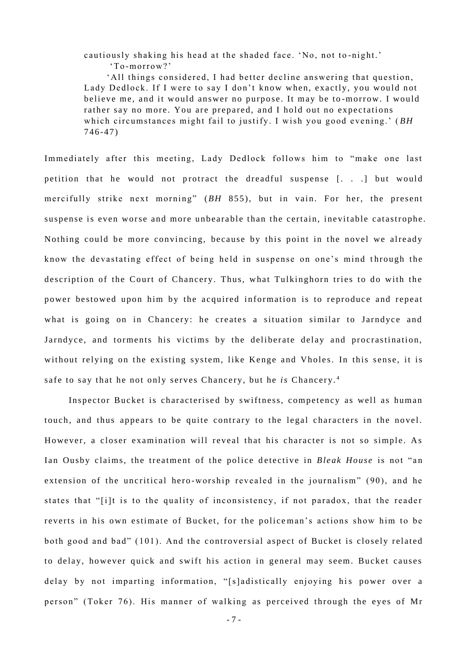cautiously shaking his head at the shaded face. 'No, not to-night.' 'To -morrow?'

'All things considered, I had better decline answering that question, Lady Dedlock. If I were to say I don't know when, exactly, you would not believe me, and it would answer no purpose. It may be to-morrow. I would rather say no more. You are prepared, and I hold out no expectations which circumstances might fail to justify. I wish you good evening.' (BH  $746 - 47$ 

Immediately after this meeting, Lady Dedlock follows him to "make one last petition that he would not protract the dreadful suspense [...] but would mercifully strike next morning" (BH 855), but in vain. For her, the present suspense is even worse and more unbearable than the certain, inevitable catastrophe. Nothing could be more convincing, because by this point in the novel we already know the devastating effect of being held in suspense on one's mind through the description of the Court of Chancery. Thus, what Tulkinghorn tries to do with the power bestowed upon him by the acquired information is to reproduce and repeat what is going on in Chancery: he creates a situation similar to Jarndyce and Jarndyce, and torments his victims by the deliberate delay and procrastination, without relying on the existing system, like Kenge and Vholes. In this sense, it is safe to say that he not only serves Chancery, but he *is* Chancery.<sup>4</sup>

Inspector Bucket is characterised by swiftness, competency as well as human touch, and thus appears to be quite contrary to the legal characters in the novel. However, a closer examination will reveal that his character is not so simple. As Ian Ousby claims, the treatment of the police detective in *Bleak House* is not "an extension of the uncritical hero-worship revealed in the journalism" (90), and he states that "[i]t is to the quality of inconsistency, if not paradox, that the reader reverts in his own estimate of Bucket, for the police man's actions show him to be both good and bad" ( 101). And the contro versial aspect of Bucket is closely related to delay, however quick and swift his action in general may seem. Bucket causes delay by not imparting information, "[s]adistically enjoying his power over a person" (Toker 76). His manner of walking as perceived through the eyes of Mr

- 7 -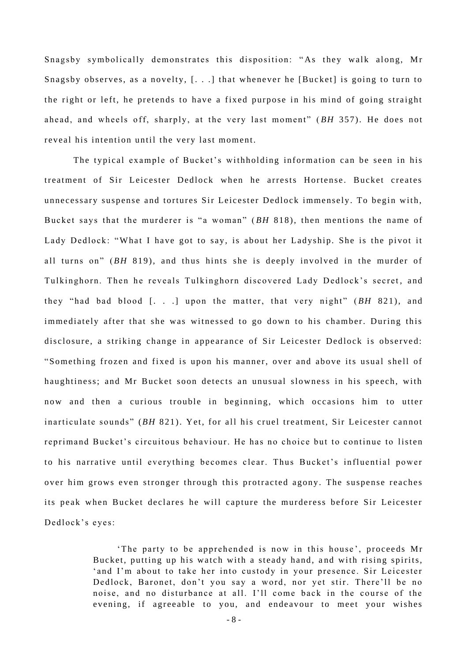Snagsby symbolically demonstrates this disposition: "As they walk along, Mr Snagsby observes, as a novelty,  $[...]$  that whenever he [Bucket] is going to turn to the right or left, he pretends to have a fixed purpose in his mind of going straight ahead, and wheels off, sharply, at the very last moment" (BH 357). He does not reveal his intention until the very last moment.

 The typical ex ample of Bucket's wi thholding information can be seen in his treatment of Sir Leicester Dedlock when he arrests Hortense. Bucket creates unnecessary suspense and tortures Sir Leicester Dedlock immensely. To begin with, Bucket says that the murderer is "a woman" ( *BH* 818), then mentions the name of Lady Dedlock: "What I have got to say, is about her Ladyship. She is the pivot it all turns on" (*BH* 819), and thus hints she is deeply involved in the murder of Tulkinghorn. Then he reveals Tulkinghorn discovered Lady Dedlock's secret, and they "had bad blood  $\lceil$ . . . ] upon the matter, that very night"  $(BH 821)$ , and immediately after that she was witnessed to go down to his chamber. During this disclosure, a striking change in appearance of Sir Leicester Dedlock is observed: "Something frozen and fixed is upon his manner, over and above its usual shell of haughtiness; and Mr Bucket soon detects an unusual slowness in his speech, with now and then a curious trouble in beginning, which occasions him to utter inarticulate sounds" (BH 821). Yet, for all his cruel treatment, Sir Leicester cannot reprimand Bucket's circuitous behaviour. He has no choice but to continue to listen to his narrative until everything becomes clear. Thus Bucket's influential power over him grows even stronger through this protracted agony. The suspense reaches its peak when Bucket declares he will capture the murderess before Sir Leicester Dedlock's eyes:

> The party to be apprehended is now in this house', proceeds Mr Bucket, putting up his watch with a steady hand, and with rising spirits, 'and I'm about to take her into custody in your presence. Sir Leicester Dedlock, Baronet, don't you say a word, nor yet stir. There'll be no noise, and no disturbance at all. I'll come back in the course of the evening, if agreeable to you, and endeavour to meet your wishes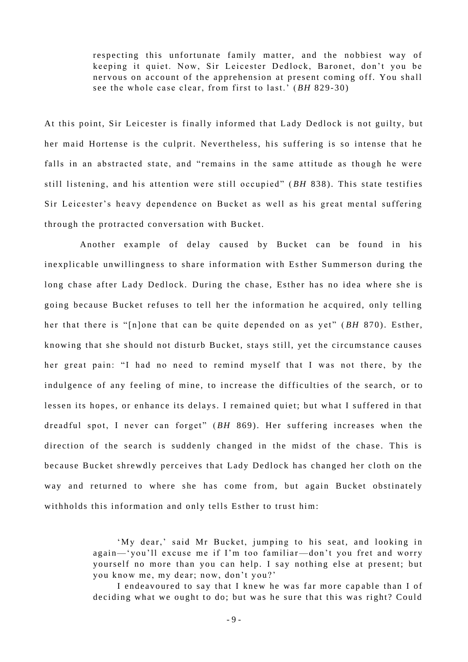respecting this unfortunate family matter, and the nobbiest way of keeping it quiet. Now, Sir Leicester Dedlock, Baronet, don't you be nervous on account of the apprehension at present coming off. You shall see the whole case clear, from first to last.' (*BH* 829-30)

At this point, Sir Leicester is finally informed that Lady Dedlock is not guilty, but her maid Hortense is the culprit. Nevertheless, his suffering is so intense that he falls in an abstracted state, and "remains in the same attitude as though he were still listening, and his attention were still occupied" ( *BH* 838 ). This state testifies Sir Leicester's heavy dependence on Bucket as well as his great mental suffering through the protracted conversation with Bucket.

Another example of delay caused by Bucket can be found in his inexplicable unwillingness to share information with Esther Summerson during the long chase after Lady Dedlock. During the chase, Esther has no idea where she is going because Bucket refuses to tell her the information he acquired, only telling her that there is "[n]one that can be quite depended on as yet" (BH 870). Esther, knowing that she should not disturb Bucket, stays still, yet the circumstance causes her great pain: "I had no need to remind myself that I was not there, by the indulgence of any feeling of mine, to increase the difficulties of the search, or to lessen its hopes, or enhance its delays. I remained quiet; but what I suffered in that dreadful spot, I never can forget" (BH 869). Her suffering increases when the direction of the search is suddenly changed in the midst of the chase. This is because Bucket shrewdly perceives that Lady Dedlock has changed her cloth on the way and returned to where she has come from, but again Bucket obstinately withholds this information and only tells Esther to trust him:

> 'My dear,' said Mr Bucket, jumping to his seat, and looking in again—'you'll excuse me if I'm too familiar—don't you fret and worry yourself no more than you can help. I say nothing else at present; but you know me, my dear; now, don't you?'

> I endeavoured to say that I knew he was far more capable than I of deciding what we ought to do; but was he sure that this was right? Could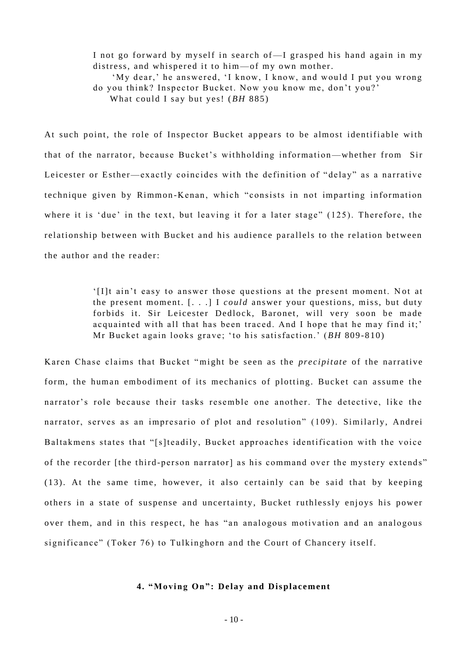I not go forward by myself in search of—I grasped his hand again in my distress, and whispered it to him—of my own mother.

'My dear,' he answered, 'I know, I know, and would I put you wrong do you think? Inspector Bucket. Now you know me, don't you?' What could I say but yes! (*BH* 885)

At such point, the role of Inspector Bucket appears to be almost identifiable with that of the narrator, because Bucket's wit hholding information—whether from Sir Leicester or Esther—exactly coincides with the definition of "delay" as a narrative technique given by Rimmon-Kenan, which "consists in not imparting information where it is 'due' in the text, but leaving it for a later stage"  $(125)$ . Therefore, the relationship between with Bucket and his audience parallels to the relation between the author and the reader:

> '[I]t ain't easy to answer those questions at the present moment. Not at the present moment. [. . .] I *could* answer your questions, miss, but duty forbids it. Sir Leicester Dedlock, Baronet, will very soon be made acquainted with all that has been traced. And I hope that he may find it;' Mr Bucket again looks grave; 'to his satisfaction.' (BH 809-810)

Karen Chase claims that Bucket " might be seen as the *precipitate* of the narrative form, the human embodiment of its mechanics of plotting. Bucket can assume the narrator's role because their tasks resemble one another. The detective, like the narrator, serves as an impresario of plot and resolution" (109). Similarly, Andrei Baltakmens states that "[s]teadily, Bucket approaches identification with the voice of the recorder [the third-person narrator] as his command over the mystery extends"  $(13)$ . At the same time, however, it also certainly can be said that by keeping others in a state of suspense and uncertainty, Bucket ruthlessly enjoys his power over them, and in this respect, he has "an analogous motivation and an analogous significance" (Toker 76) to Tulkinghorn and the Court of Chancery itself.

# **4. "Moving On": De lay and Displacement**

- 10 -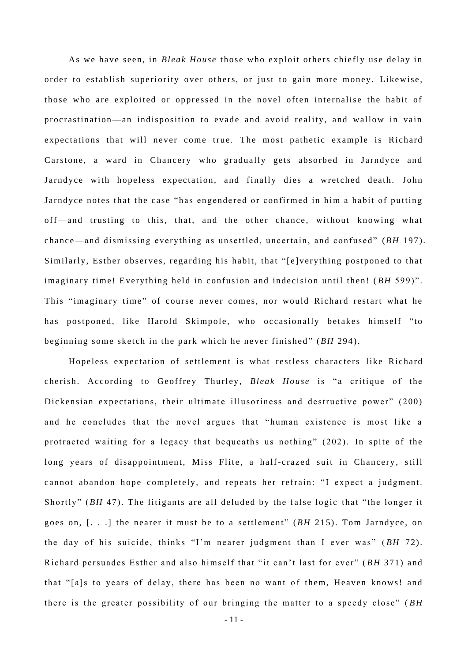As we have seen, in *Bleak House* those w ho exploit others chiefly use delay in order to establish superiority over others, or just to gain more money. Likewise, those who are exploited or oppressed in the novel often internalise the habit of procrastination—an indisposition to evade and avoid reality, and wallow in vain expectations that will never come true. The most pathetic example is Richard Carstone, a ward in Chancery who gradually gets absorbed in Jarndyce and Jarndyce with hopeless expectation, and finally dies a wretched death. John Jarndyce notes that the case "has engendered or confirmed in him a habit of putting off—and trusting to this, that, and the other chance, without knowing what chance—and dismissing everything as unsettled, uncertain, and confused" (*BH* 197). Similarly, Esther observes, regarding his habit, that "[e] verything postponed to that imaginary time! Everything held in confusion and indecision until then! (*BH* 599)". This "imaginary time" of course never comes, nor would Richard restart what he has postponed, like Harold Skimpole, who occasionally betakes himself "to beginning some sketch in the park which he never finished" (*BH* 294).

Hopeless expectation of settlement is what restless characters like Richard cherish. According to Geoffrey Thurley, *Bleak House* is "a critique of the Dickensian expectations, their ultimate illusoriness and destructive power" (200) and he concludes that the novel argues that "human existence is most like a protracted waiting for a legacy that bequeaths us nothing" (202). In spite of the long years of disappointment, Miss Flite, a half-crazed suit in Chancery, still cannot abandon hope completely, and repeats her refrain: "I expect a judgment. Shortly" (*BH* 47). The litigants are all deluded by the false logic that "the longer it goes on, [...] the nearer it must be to a settlement" (BH 215). Tom Jarndyce, on the day of his suicide, thinks "I'm nearer judgment than I ever was" ( *BH* 72). Richard persuades Esther and also himself that "it can't last for ever" (BH 371) and that "[a]s to years of delay, there has been no want of them, Heaven knows! and there is the greater possibility of our bringing the matter to a speedy close" (BH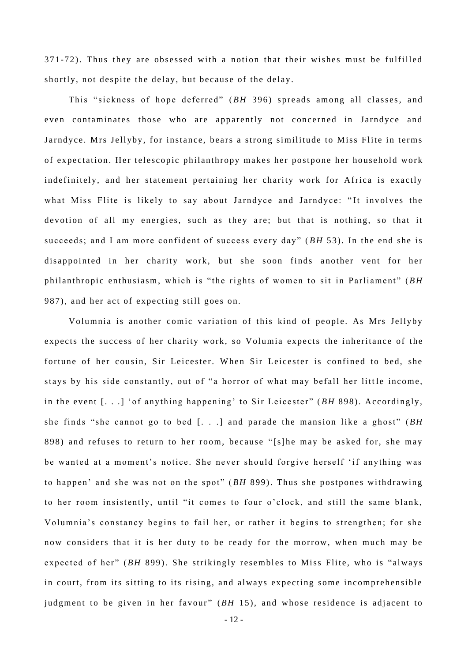371-72). Thus they are obsessed with a notion that their wishes must be fulfilled shortly, not despite the delay, but because of the delay.

This "sickness of hope deferred" (*BH* 396) spreads among all classes, and even contaminates those who are apparently not concerned in Jarndyce and Jarndyce. Mrs Jellyby, for instance, bears a strong similitude to Miss Flite in terms of expectation. Her telescopic philanthropy makes her postpone her household work indefinitely, and her statement pertaining her charity work for Africa is exactly what Miss Flite is likely to say about Jarndyce and Jarndyce: "It involves the devotion of all my energies, such as they are; but that is nothing, so that it succeeds; and I am more confident of success every day" (BH 53). In the end she is disappointed in her charity work, but she soon finds another vent for her philanthropic enthusiasm, which is "the rights of women to sit in Parliament" (*BH* 987), and her act of expecting still goes on.

Volumnia is another comic variation of this kind of people. As Mrs Jellyby expects the success of her charity work, so Volumia expects the inheritance of the fortune of her cousin, Sir Leicester. When Sir Leicester is confined to bed, she stays by his side constantly, out of "a horror of what may befall her little income, in the event [...] 'of anything happening' to Sir Leicester" (BH 898). Accordingly, she finds "she cannot go to bed [. . .] and parade the mansion like a ghost" (*BH* 898) and refuses to return to her room, because "[s]he may be asked for, she may be wanted at a moment's notice. She never should forgive herself 'if anything was to happen' and she was not on the spot" (BH 899). Thus she postpones withdrawing to her room insistently, until "it comes to four o'clock, and still the same blank, Volumnia's constancy begins to fail her, or rather it begins to strengthen; for she now considers that it is her duty to be ready for the morrow, when much may be expected of her" (*BH* 899). She strikingly resembles to Miss Flite, who is "always in court, from its sitting to its rising, and always expecting some incomprehensible judgment to be given in her favour" (BH 15), and whose residence is adjacent to

- 12 -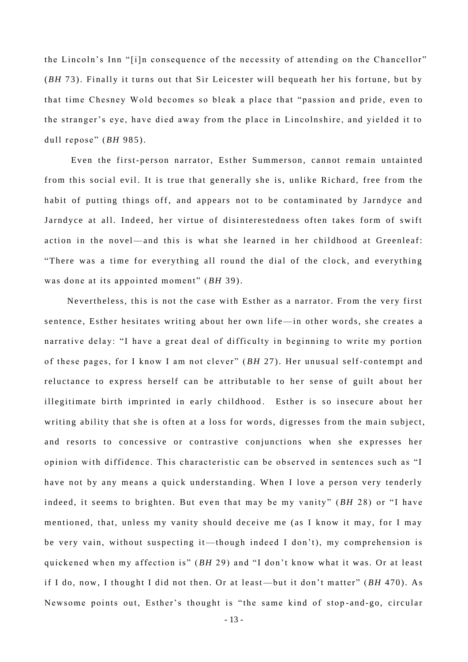the Lincoln's Inn "[i]n consequence of the necessity of attending on the Chancellor" (*BH* 73). Finally it turns out that Sir Leicester will bequeath her his fortune, but by that time Chesney Wold becomes so bleak a place that "passion and pride, even to the stranger's eye, have died away from the place in Lincolnshire, and yielded it to dull repose" (*BH* 985).

Even the first-person narrator, Esther Summerson, cannot remain untainted from this social evil. It is true that generally she is, unlike Richard, free from the habit of putting things off, and appears not to be contaminated by Jarndyce and Jarndyce at all. Indeed, her virtue of disinterestedness often takes form of swift action in the novel—and this is what she learned in her childhood at Greenleaf: "There was a time for everything all round the dial of the clock, and everything was done at its appointed moment" (BH 39).

Nevertheless, this is not the case with Esther as a narrator. From the very first sentence, Esther hesitates writing about her own life—in other words, she creates a narrative delay: "I have a great deal of difficulty in beginning to write my portion of these pages, for I know I am not clever" (BH 27). Her unusual self-contempt and reluctance to express herself can be attributable to her sense of guilt about her illegitimate birth imprinted in early childhood. Esther is so insecure about her writing ability that she is often at a loss for words, digresses from the main subject, and resorts to concessive or contrastive conjunctions when she expresses her opinion with diffidence. This characteristic can be observed in sentences such as "I have not by any means a quick understanding. When I love a person very tenderly indeed, it seems to brighten. But even that may be my vanity" (BH 28) or "I have mentioned, that, unless my vanity should deceive me (as I know it may, for I may be very vain, without suspecting it—though indeed I don't), my comprehension is quickened when my affection is" (*BH* 29) and "I don't know what it was. Or at least if I do, now, I thought I did not then. Or at least—but it don't matter" (BH 470). As Newsome points out, Esther's thought is "the same kind of stop-and-go, circular

- 13 -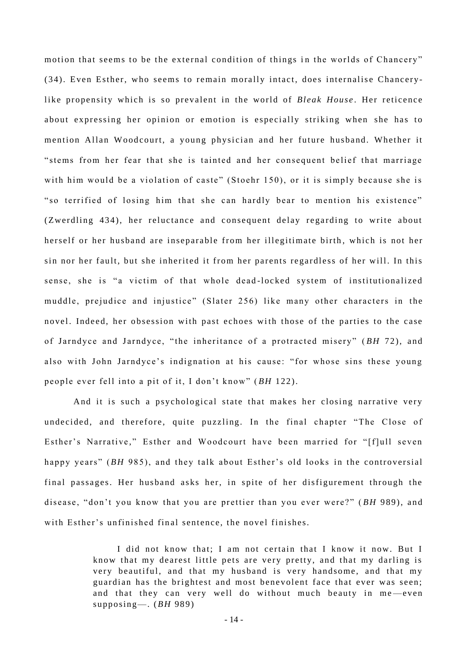motion that seems to be the external condition of things in the worlds of Chancery" (34). Even Esther, who seems to remain morally intact, does internalise Chancerylike propensity w hich is so prevalent in the world of *Bleak House* . Her reticence about expressing her opinion or emotion is especially striking when she has to mention Allan Woodcourt, a young physician and her future husband. Whether it "stems from her fear that she is tainted and her consequent belief that marriage with him would be a violation of caste" (Stoehr 150), or it is simply because she is " so terrified of losing him that she can hardly bear to mention his existence" (Zwerdling 434), her reluctance and consequent delay regarding to write about herself or her husband are inseparable from her illegitimate birth , which is not her sin nor her fault, but she inherited it from her parents regardless of her will. In this sense, she is "a victim of that whole dead-locked system of institutionalized muddle, prejudice and injustice" (Slater 256) like many other characters in the novel. Indeed, her obsession with past echoes with those of the parties to the case of Jarndyce and Jarndyce, "the inheritance of a protracted misery" (BH 72), and also with John Jarndyce's indignation at his cause: "for whose sins these young people ever fell into a pit of it, I don't know" (*BH* 122).

And it is such a psychological state that makes her closing narrative very undecided, and therefore, quite puzzling. In the final chapter "The Close of Esther's Narrative," Esther and Woodcourt have been married for "[f]ull seven happy years" (*BH* 985), and they talk about Esther's old looks in the controversial final passages. Her husband asks her, in spite of her disfigurement through the disease, "don't you know that you are prettier than you ever were?" (BH 989), and with Esther's unfinished final sentence, the novel finishes.

> I did not know that; I am not certain that I know it now. But I know that my dearest little pets are very pretty, and that my darling is very beautiful, and that my husband is very handsome, and that my guardian has the brightest and most benevolent face that ever was seen; and that they can very well do without much beauty in me-even supposing—. (*BH* 989)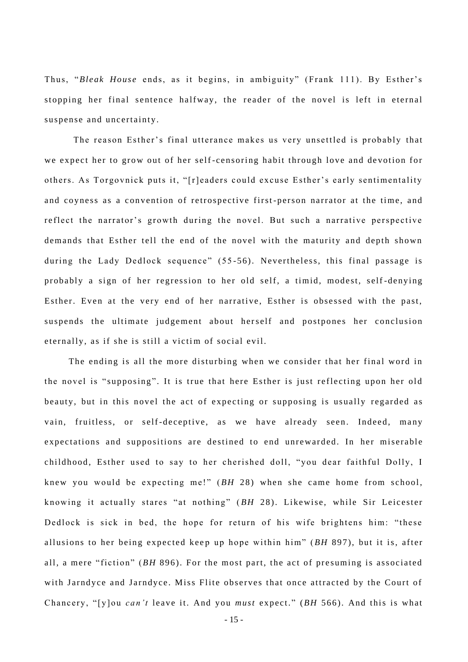Thus, "*Bleak House* ends, as it begins, in ambiguity" (Frank 111). By Esther's stopping her final sentence halfway, the reader of the novel is left in eternal suspense and uncertainty.

The reason Esther's final utterance makes us very unsettled is probably that we expect her to grow out of her self-censoring habit through love and devotion for others. As Torgovnick puts it, "[r]eaders could excuse Esther's early sentimentality and coyness as a convention of retrospective first-person narrator at the time, and re flect the narrator's growth during the novel. But such a narrative perspective demands that Esther tell the end of the novel with the maturity and depth shown during the Lady Dedlock sequence" (55-56). Nevertheless, this final passage is probably a sign of her regression to her old self, a timid, modest, self-denying Esther. Even at the very end of her narrative, Esther is obsessed with the past, suspends the ultimate judgement about herself and postpones her conclusion eternally, as if she is still a victim of social evil.

The ending is all the more disturbing when we consider that her final word in the novel is "supposing". It is true that here Esther is just reflecting upon her old beauty, but in this novel the act of expecting or supposing is usually regarded as vain, fruitless, or self-deceptive, as we have already seen. Indeed, many expectations and suppositions are destined to end unrewarded. In her miserable childhood, Esther used to say to her cherished doll, "you dear faithful Dolly, I knew you would be expecting me!" (*BH* 28) when she came home from school, knowing it actually stares "at nothing" ( *BH* 28). Likewise, while Sir Leicester Dedlock is sick in bed, the hope for return of his wife brightens him: "these allusions to her being expected keep up hope within him" (*BH* 897), but it is, after all, a mere "fiction" (*BH* 896). For the most part, the act of presuming is associated with Jarndyce and Jarndyce. Miss Flite observes that once attracted by the Court of Chancery, "[y]ou *can't* leave it. And you *must* expect." (BH 566). And this is what

- 15 -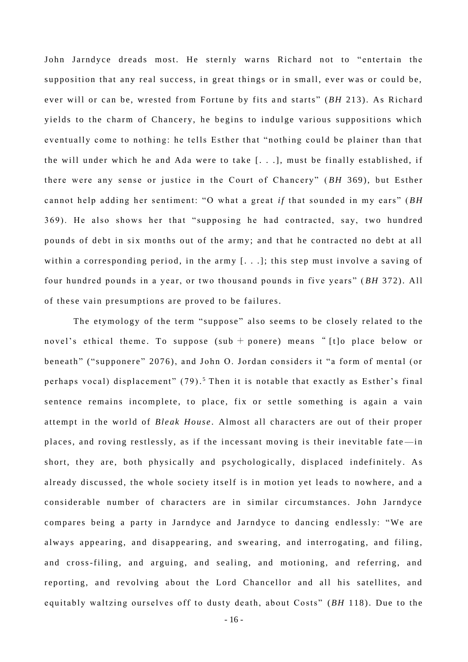John Jarndyce dreads most. He sternly warns Richard not to "entertain the supposition that any real success, in great things or in small, ever was or could be, ever will or can be, wrested from Fortune by fits and starts" (BH 213). As Richard yields to the charm of Chancery, he begins to indulge various suppositions which eventually come to nothing: he tells Esther that "nothing could be plainer than that the will under which he and Ada were to take [. . .], must be finally established, if there were any sense or justice in the Court of Chancery" (BH 369), but Esther cannot help adding her sentiment: "O what a great *if* that sounded in my ears" (BH 369). He also shows her that "supposing he had contracted, say, two hundred pounds of debt in six months out of the army; and that he contracted no debt at all within a corresponding period, in the army  $[...]$ ; this step must involve a saving of four hundred pounds in a year, or two thousand pounds in five years" (BH 372). All of these vain presumptions are proved to be failures.

The etymology of the term "suppose" also seems to be closely related to the novel's ethical theme. To suppose (sub + ponere) means "[t]o place below or beneath" ("supponere" 2076), and John O. Jordan considers it "a form of mental (or perhaps vocal) displacement" (79).<sup>5</sup> Then it is notable that exactly as Esther's final sentence remains incomplete, to place, fix or settle something is again a vain attempt in the world of *Bleak House* . Almost all characters are out of their proper places, and roving restlessly, as if the incessant moving is their inevitable fate-in short, they are, both physically and psychologically, displaced indefinitely. As already discussed, the whole society itself is in motion yet leads to nowhere, and a considerable number of characters are in similar circumstances. John Jarndyce compares being a party in Jarndyce and Jarndyce to dancing endlessly : "We are always appearing, and disappearing, and swearing, and interrogating, and filing, and cross-filing, and arguing, and sealing, and motioning, and referring, and reporting, and revolving about the Lord Chancellor and all his satellites, and equitably waltzing ourselves off to dusty death, about Costs" (*BH* 118). Due to the

- 16 -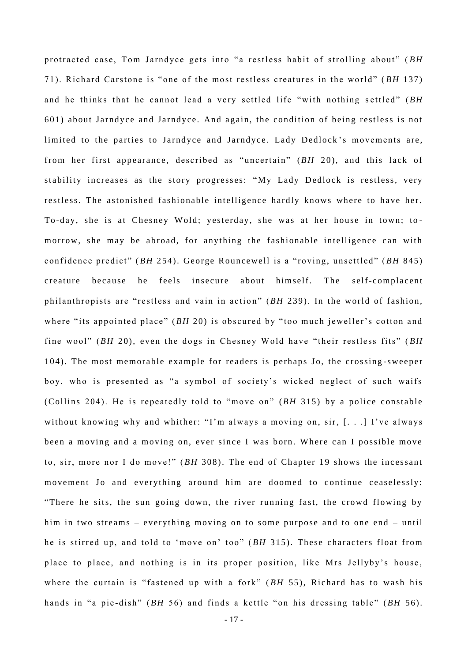protracted case, Tom Jarndyce gets into "a restless habit of strolling about" (BH 71). Richard Carstone is "one of the most restless creatures in the world" (*BH* 137) and he thinks that he cannot lead a very settled life "with nothing s ettled" (*BH* 601) about Jarndyce and Jarndyce. And a gain, the condition of being restless is not limited to the parties to Jarndyce and Jarndyce. Lady Dedlock's movements are, from her first appearance, described as "uncertain" (BH 20), and this lack of stability increases as the story progresses: "My Lady Dedlock is restless, very restless. The astonished fashionable intelligence hardly knows where to have her. To-day, she is at Chesney Wold; yesterday, she was at her house in town; tomorrow, she may be abroad, for anything the fashionable intelligence can with confidence predict" (*BH* 254). George Rouncewell is a "roving, unsettled" (*BH* 845) creature because he feels insecure about himself. The self-complacent philanthropists are "restless and vain in action" (BH 239). In the world of fashion, where "its appointed place" (*BH* 20) is obscured by "too much jeweller's cotton and fine wool" (*BH* 20), even the dogs in Chesney Wold have "their restless fits" (*BH* 104). The most memorable example for readers is perhaps Jo, the crossing-sweeper boy, who is presented as "a symbol of society's wicked neglect of such waifs (Collins 204). He is repeatedly told to "move on" (BH 315) by a police constable without knowing why and whither: "I'm always a moving on, sir,  $[...]$  I've always been a moving and a moving on, ever since I was born. Where can I possible move to, sir, more nor I do move!" (*BH* 308). The end of Chapter 19 shows the incessant movement Jo and everything around him are doomed to continue ceaselessly: "There he sits, the sun going down, the river running fast, the crowd flowing by him in two streams – everything moving on to some purpose and to one end – until he is stirred up, and told to 'move on' too" (BH 315). These characters float from place to place, and nothing is in its proper position, like Mrs Jellyby's house, where the curtain is "fastened up with a fork" (BH 55), Richard has to wash his hands in "a pie-dish" (*BH* 56) and finds a kettle "on his dressing table" (*BH* 56).

- 17 -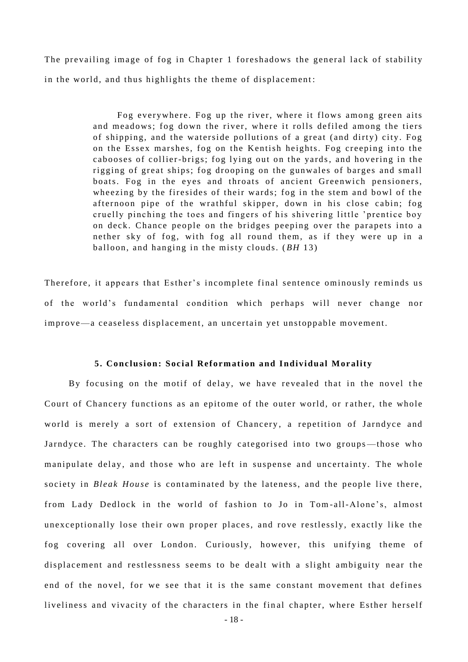The prevailing image of fog in Chapter 1 foreshadows the general lack of stability in the world, and thus highlights the theme of displacement:

> Fog everywhere. Fog up the river, where it flows among green aits and meadows; fog down the river, where it rolls defiled among the tiers of shipping, and the waterside pollutions of a great (and dirty) city. Fog on the Essex marshes, fog on the Kentish heights. Fog creeping into the cabooses of collier-brigs; fog lying out on the yards, and hovering in the rigging of great ships; fog drooping on the gunwales of barges and small boats. Fog in the eyes and throats of ancient Greenwich pensioners, wheezing by the firesides of their wards; fog in the stem and bowl of the afternoon pipe of the wrathful skipper, down in his close cabin; fog cruelly pinching the toes and fingers of his shivering little 'prentice boy on deck. Chance people on the bridges peeping over the parapets into a nether sky of fog, with fog all round them, as if they were up in a balloon, and hanging in the misty clouds. ( *BH* 13)

Therefore, it appears that Esther's incomplete final sentence ominously reminds us of the world's fundamental condition which perhaps will never change nor improve—a ceaseless displacement, an uncertain yet unstoppable movement.

#### **5. Co nclusion: Socia l Reformation and I ndividual Morality**

By focusing on the motif of delay, we have revealed that in the novel the Court of Chancery functions as an epitome of the outer world, or rather, the whole world is merely a sort of extension of Chancery, a repetition of Jarndyce and Jarndyce. The characters can be roughly categorised into two groups—those who manipulate delay, and those who are left in suspense and uncertainty. The whole society in *Bleak House* is contaminated by the lateness, and the people live there, from Lady Dedlock in the world of fashion to Jo in Tom-all-Alone's, almost unexceptionally lose their own proper places, and rove restlessly, exactly like the fog covering all over London. Curiously, however, this unifying theme of displacement and restlessness seems to be dealt with a slight ambiguity near the end of the novel, for we see that it is the same constant movement that defines liveliness and vivacity of the characters in the final chapter, where Esther herself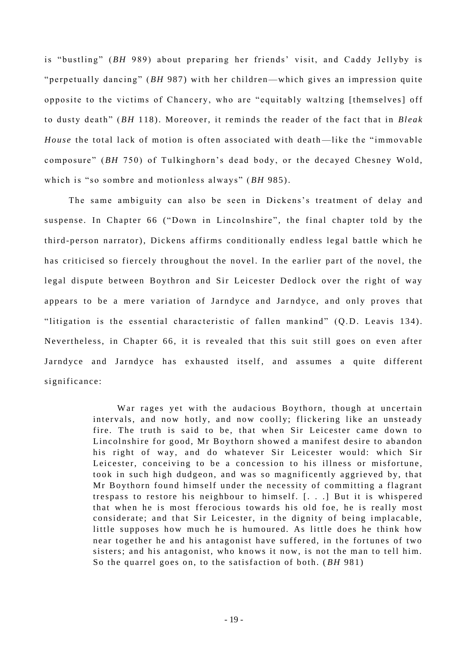is "bustling" (*BH* 989) about preparing her friends' visit, and Caddy Jellyby is "perpetually dancing" (*BH* 987) with her children—which gives an impression quite opposite to the victims of Chancery, who are "equitably waltzing [themselves] off to dusty death" (*BH* 118). Moreover, it reminds the reader of the fact that in *Bleak House* the total lack of motion is often associated with death—like the "immovable composure" (*BH* 750) of Tulkinghorn's dead body, or the decayed Chesney Wold, which is "so sombre and motionless always" (BH 985).

The same ambiguity can also be seen in Dickens's treatment of delay and suspense. In Chapter 66 ("Down in Lincolnshire", the final chapter told by the third-person narrator), Dickens affirms conditionally endless legal battle which he has criticised so fiercely throughout the novel. In the earlier part of the novel, the legal dispute between Boythron and Sir Leicester Dedlock over the right of way appears to be a mere variation of Jarndyce and Jarndyce, and only proves that "litigation is the essential characteristic of fallen mankind" (Q.D. Leavis 134). Nevertheless, in Chapter 66, it is revealed that this suit still goes on even after Jarndyce and Jarndyce has exhausted itself, and assumes a quite different significance:

> War rages yet with the audacious Boythorn, though at uncertain intervals, and now hotly, and now coolly; flickering like an unsteady fire. The truth is said to be, that when Sir Leicester came down to Lincolnshire for good, Mr Boythorn showed a manifest desire to abandon his right of way, and do whatever Sir Leicester would: which Sir Leicester, conceiving to be a concession to his illness or misfortune, took in such high dudgeon, and was so magnificently aggrieved by, that Mr Boythorn found himself under the necessity of committing a flagrant trespass to restore his neighbour to himself.  $\lceil \cdot \cdot \cdot \rceil$ . But it is whispered that when he is most fferocious towards his old foe, he is really most considerate; and that Sir Leicester, in the dignity of being implacable, little supposes how much he is humoured. As little does he think how near together he and his antagonist have suffered, in the fortunes of two sisters; and his antagonist, who knows it now, is not the man to tell him. So the quarrel goes on, to the satisfaction of both. (*BH* 981)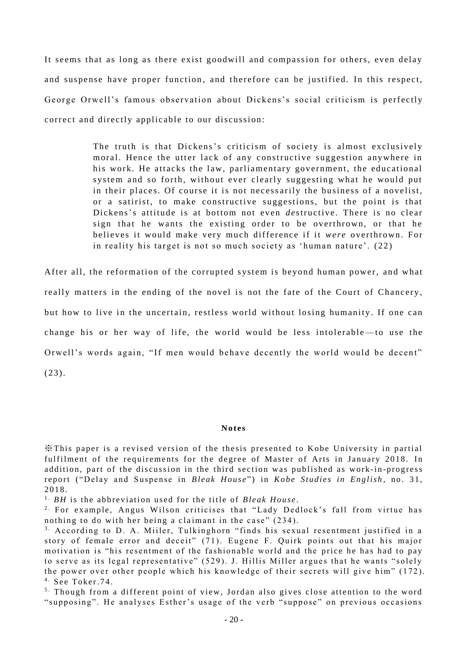It seems that as long as there exist goodwill and compassion for others, even delay and suspense have proper function, and therefore can be justified. In this respect, George Orwell's famous observation about Dickens's social criticism is perfectly correct and directly applicable to our discussion:

> The truth is that Dickens's criticism of society is almost exclusively moral. Hence the utter lack of any constructive suggestion anywhere in his work. He attacks the law, parliamentary government, the educational system and so forth, without ever clearly suggesting what he would put in their places. Of course it is not necessarily the business of a novelist, or a satirist, to make constructive suggestions, but the point is that Dickens's attitude is at bottom not even *de* structive. There is no clear sign that he wants the existing order to be overthrown, or that he believes it would make very much difference if it *were* overthrown. For in reality his target is not so much society as 'human nature'.  $(22)$

After all, the reformation of the corrupted system is beyond human power, and what really matters in the ending of the novel is not the fate of the Court of Chancery, but how to live in the uncertain, restless world without losing humanity . If one can change his or her way of life, the world would be less intolerable—to use the Orwell's words again, "If men would behave decently the world would be decent" (23).

#### **Notes**

 $\mathcal X$ This paper is a revised version of the thesis presented to Kobe University in partial ful filment of the requirements for the degree of Master of Arts in January 2018. In addition, part of the discussion in the third section was published as work-in-progress report ("Delay and Suspense in *Bleak House"*) in *Kobe Studies in English*, no. 31, 2018.

<sup>1</sup> *BH* is the abbreviation used for the title of *Bleak House*.

<sup>2.</sup> For example, Angus Wilson criticises that "Lady Dedlock's fall from virtue has nothing to do with her being a claimant in the case"  $(234)$ .

<sup>3</sup> According to D. A. Miiler, Tulkinghorn "finds his sexual resentment justified in a story of female error and deceit" (71). Eugene F. Quirk points out that his major motivation is "his resentment of the fashionable world and the price he has had to pay to serve as its legal representative" (529). J. Hillis Miller argues that he wants "solely the power over other people which his knowledge of their secrets will give him" (172).  $4.$  See Toker. 74.

<sup>5.</sup> Though from a different point of view, Jordan also gives close attention to the word "supposing". He analyses Esther's usage of the verb "suppose" on previous occasions